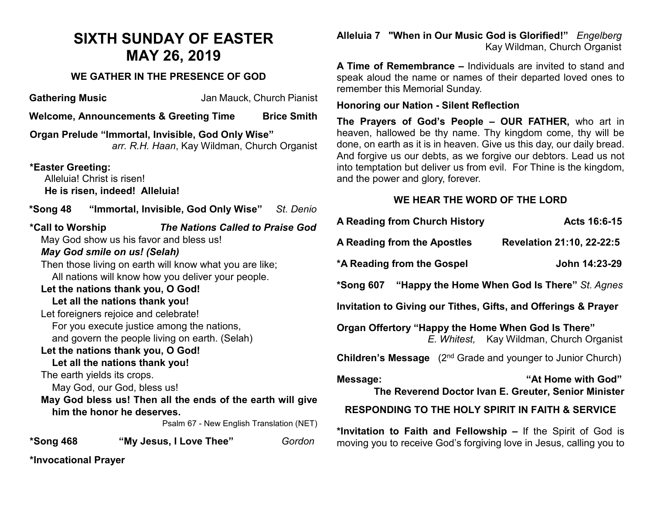## **SIXTH SUNDAY OF EASTER MAY 26, 2019**

## **WE GATHER IN THE PRESENCE OF GOD**

**Gathering Music** Jan Mauck, Church Pianist

**Welcome, Announcements & Greeting Time Brice Smith** 

**Organ Prelude "Immortal, Invisible, God Only Wise"** *arr. R.H. Haan*, Kay Wildman, Church Organist

**\*Easter Greeting:**  Alleluia! Christ is risen! **He is risen, indeed! Alleluia!**

**\*Song 48 "Immortal, Invisible, God Only Wise"** *St. Denio*

**\*Call to Worship** *The Nations Called to Praise God* May God show us his favor and bless us! *May God smile on us! (Selah)* Then those living on earth will know what you are like; All nations will know how you deliver your people. **Let the nations thank you, O God! Let all the nations thank you!** Let foreigners rejoice and celebrate! For you execute justice among the nations, and govern the people living on earth. (Selah) **Let the nations thank you, O God! Let all the nations thank you!** The earth yields its crops. May God, our God, bless us! **May God bless us! Then all the ends of the earth will give him the honor he deserves.**  Psalm 67 - New English Translation (NET) **\*Song 468 "My Jesus, I Love Thee"** *Gordon*

**\*Invocational Prayer** 

**Alleluia 7 "When in Our Music God is Glorified!"** *Engelberg* **Kay Wildman, Church Organist** 

**A Time of Remembrance –** Individuals are invited to stand and speak aloud the name or names of their departed loved ones to remember this Memorial Sunday.

## **Honoring our Nation - Silent Reflection**

**The Prayers of God's People – OUR FATHER,** who art in heaven, hallowed be thy name. Thy kingdom come, thy will be done, on earth as it is in heaven. Give us this day, our daily bread. And forgive us our debts, as we forgive our debtors. Lead us not into temptation but deliver us from evil. For Thine is the kingdom, and the power and glory, forever.

## **WE HEAR THE WORD OF THE LORD**

| A Reading from Church History                                                                  | Acts 16:6-15              |
|------------------------------------------------------------------------------------------------|---------------------------|
| A Reading from the Apostles                                                                    | Revelation 21:10, 22-22:5 |
| *A Reading from the Gospel                                                                     | John 14:23-29             |
| *Song 607 "Happy the Home When God Is There" St. Agnes                                         |                           |
| Invitation to Giving our Tithes, Gifts, and Offerings & Prayer                                 |                           |
| Organ Offertory "Happy the Home When God Is There"<br>E. Whitest, Kay Wildman, Church Organist |                           |
| <b>Children's Message</b> (2 <sup>nd</sup> Grade and younger to Junior Church)                 |                           |
| "At Home with God"<br>Message:<br>The Reverend Doctor Ivan E. Greuter, Senior Minister         |                           |
| <b>RESPONDING TO THE HOLY SPIRIT IN FAITH &amp; SERVICE</b>                                    |                           |
| *Invitation to Faith and Fellowship – If the Spirit of God is                                  |                           |

moving you to receive God's forgiving love in Jesus, calling you to